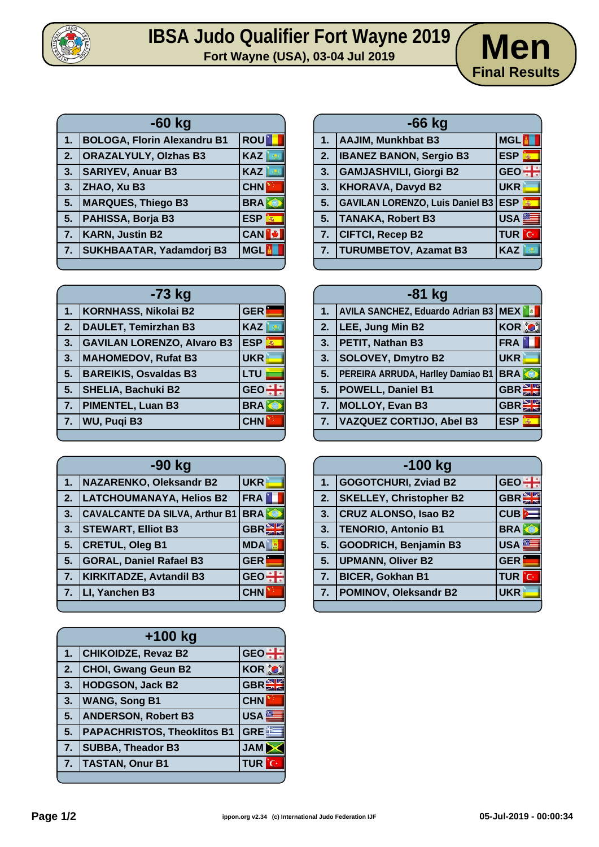

## **IBSA Judo Qualifier Fort Wayne 2019**<br>Fort Wayne (USA), 03-04 Jul 2019<br>**Men**



| $-60$ kg |                                    |            |
|----------|------------------------------------|------------|
| 1.       | <b>BOLOGA, Florin Alexandru B1</b> | <b>ROU</b> |
| 2.       | <b>ORAZALYULY, Olzhas B3</b>       | <b>KAZ</b> |
| 3.       | <b>SARIYEV, Anuar B3</b>           | <b>KAZ</b> |
| 3.       | ZHAO, Xu B3                        | <b>CHN</b> |
| 5.       | <b>MARQUES, Thiego B3</b>          | <b>BRA</b> |
| 5.       | PAHISSA, Borja B3                  | <b>ESP</b> |
| 7.       | <b>KARN, Justin B2</b>             | <b>CAN</b> |
| 7.       | SUKHBAATAR, Yadamdorj B3           | <b>MGL</b> |

| -73 kg |                                   |                           |
|--------|-----------------------------------|---------------------------|
| 1.     | <b>KORNHASS, Nikolai B2</b>       | <b>GER</b>                |
| 2.     | <b>DAULET, Temirzhan B3</b>       | <b>KAZ</b>                |
| 3.     | <b>GAVILAN LORENZO, Alvaro B3</b> | <b>ESP</b><br>$\vec{p}_0$ |
| 3.     | <b>MAHOMEDOV, Rufat B3</b>        | <b>UKR</b>                |
| 5.     | <b>BAREIKIS, Osvaldas B3</b>      | <b>LTU</b>                |
| 5.     | <b>SHELIA, Bachuki B2</b>         | <b>GEO</b>                |
| 7.     | <b>PIMENTEL, Luan B3</b>          | <b>BRA</b>                |
| 7.     | WU, Puqi B3                       | <b>CHN</b>                |
|        |                                   |                           |

| -90 kg |                                       |              |
|--------|---------------------------------------|--------------|
| 1.     | NAZARENKO, Oleksandr B2               | <b>UKR</b>   |
| 2.     | <b>LATCHOUMANAYA, Helios B2</b>       | <b>FRA</b>   |
| 3.     | <b>CAVALCANTE DA SILVA, Arthur B1</b> | <b>BRAKE</b> |
| 3.     | <b>STEWART, Elliot B3</b>             | GBR          |
| 5.     | <b>CRETUL, Oleg B1</b>                | <b>MDA</b>   |
| 5.     | <b>GORAL, Daniel Rafael B3</b>        | <b>GER</b>   |
| 7.     | <b>KIRKITADZE, Avtandil B3</b>        | <b>GEO</b>   |
| 7.     | LI, Yanchen B3                        | <b>CHN</b>   |
|        |                                       |              |

| +100 kg          |                                    |                     |
|------------------|------------------------------------|---------------------|
| 1.               | <b>CHIKOIDZE, Revaz B2</b>         | <b>GEO</b>          |
| 2.               | <b>CHOI, Gwang Geun B2</b>         | <b>KOR O</b>        |
| 3.               | <b>HODGSON, Jack B2</b>            | $GBR_{28}$          |
| 3.               | <b>WANG, Song B1</b>               | <b>CHN</b>          |
| 5.               | <b>ANDERSON, Robert B3</b>         | USA <sup>®</sup>    |
| 5.               | <b>PAPACHRISTOS, Theoklitos B1</b> | <b>GREE</b>         |
| $\overline{7}$ . | <b>SUBBA, Theador B3</b>           | JAM <sup>&gt;</sup> |
| 7.               | <b>TASTAN, Onur B1</b>             | <b>TUR</b> C        |
|                  |                                    |                     |

| $-66$ kg |                                        |                           |
|----------|----------------------------------------|---------------------------|
|          | 1.   AAJIM, Munkhbat B3                | <b>MGL</b>                |
| 2.       | <b>IBANEZ BANON, Sergio B3</b>         | <b>ESP</b>                |
| 3.       | <b>GAMJASHVILI, Giorgi B2</b>          | $GEO +$                   |
| 3.       | <b>KHORAVA, Davyd B2</b>               | <b>UKR</b>                |
| 5.       | <b>GAVILAN LORENZO, Luis Daniel B3</b> | <b>ESP</b><br>$\vec{m}_0$ |
| 5.       | <b>TANAKA, Robert B3</b>               | USA <sup>E</sup>          |
| 7.       | <b>CIFTCI, Recep B2</b>                | <b>TUR</b> C              |
| 7.       | <b>TURUMBETOV, Azamat B3</b>           | <b>KAZ</b>                |
|          |                                        |                           |

| $-81$ kg |                                        |                 |
|----------|----------------------------------------|-----------------|
| 1.       | AVILA SANCHEZ, Eduardo Adrian B3   MEX |                 |
| 2.       | LEE, Jung Min B2                       | <b>KOR O</b>    |
| 3.       | PETIT, Nathan B3                       | <b>FRA</b>      |
| 3.       | <b>SOLOVEY, Dmytro B2</b>              | <b>UKR</b>      |
| 5.       | PEREIRA ARRUDA, Harlley Damiao B1      | <b>BRA</b>      |
| 5.       | <b>POWELL, Daniel B1</b>               | <b>GBREE</b>    |
| 7.       | MOLLOY, Evan B3                        | GBR             |
| 7.       | <b>VAZQUEZ CORTIJO, Abel B3</b>        | <b>ESP</b><br>燕 |
|          |                                        |                 |

| $-100$ kg |                                |                  |
|-----------|--------------------------------|------------------|
| 1.        | <b>GOGOTCHURI, Zviad B2</b>    | $GEO \div$       |
| 2.        | <b>SKELLEY, Christopher B2</b> | <b>GBRE</b>      |
| 3.        | <b>CRUZ ALONSO, Isao B2</b>    | CUB              |
| 3.        | <b>TENORIO, Antonio B1</b>     | <b>BRA</b>       |
| 5.        | <b>GOODRICH, Benjamin B3</b>   | USA <sup>S</sup> |
| 5.        | <b>UPMANN, Oliver B2</b>       | <b>GER</b>       |
| 7.        | <b>BICER, Gokhan B1</b>        | TUR<br>ïС        |
| 7.        | <b>POMINOV, Oleksandr B2</b>   | <b>UKR</b>       |
|           |                                |                  |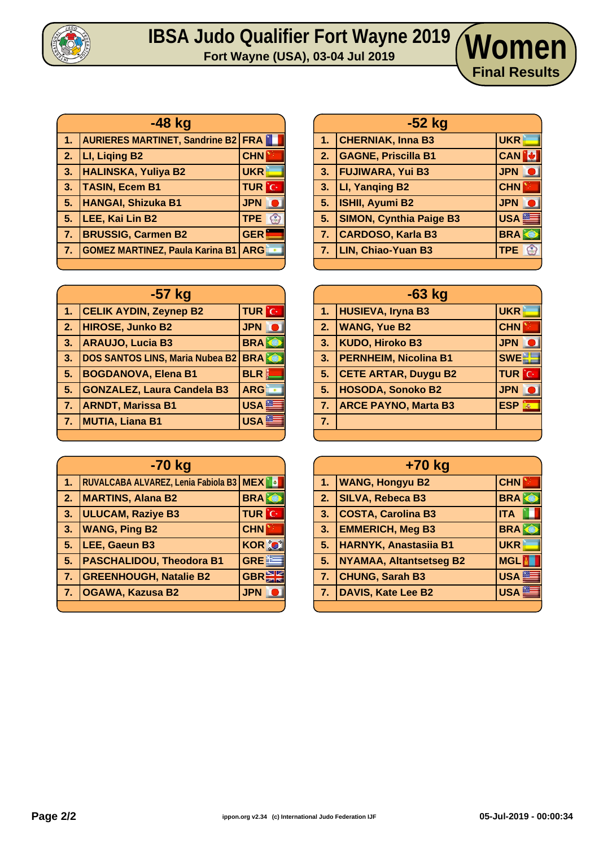

## **IBSA Judo Qualifier Fort Wayne 2019 Women**

| -48 kg                                              |                                             |                             |
|-----------------------------------------------------|---------------------------------------------|-----------------------------|
| 1.7                                                 | <b>AURIERES MARTINET, Sandrine B2 FRAIL</b> |                             |
| $\overline{\mathbf{2}}$ .                           | LI, Liging B2                               | <b>CHN</b>                  |
| $\begin{array}{ c c } \hline 3. \hline \end{array}$ | <b>HALINSKA, Yuliya B2</b>                  | <b>UKR</b>                  |
| 3.                                                  | <b>TASIN, Ecem B1</b>                       | <b>TUR</b> C                |
| 5.                                                  | <b>HANGAI, Shizuka B1</b>                   | <b>JPN</b>                  |
| 5.                                                  | LEE, Kai Lin B2                             | <b>TPE</b><br>$\mathcal{C}$ |
| 7.                                                  | <b>BRUSSIG, Carmen B2</b>                   | <b>GER</b>                  |
| 77                                                  | GOMEZ MARTINEZ, Paula Karina B1   ARG       |                             |
|                                                     |                                             |                             |

|                | $-57$ kg                               |              |
|----------------|----------------------------------------|--------------|
| 1.             | <b>CELIK AYDIN, Zeynep B2</b>          | <b>TUR</b> C |
| 2.             | <b>HIROSE, Junko B2</b>                | <b>JPN</b>   |
| 3.             | <b>ARAUJO, Lucia B3</b>                | <b>BRAKE</b> |
| 3.             | <b>DOS SANTOS LINS, Maria Nubea B2</b> | <b>BRA</b>   |
| 5.             | <b>BOGDANOVA, Elena B1</b>             | <b>BLR</b>   |
| 5.             | <b>GONZALEZ, Laura Candela B3</b>      | <b>ARG</b>   |
| 7.             | <b>ARNDT, Marissa B1</b>               | <b>USA</b>   |
| 7 <sub>1</sub> | <b>MUTIA, Liana B1</b>                 | <b>USA</b>   |
|                |                                        |              |

| -70 kg         |                                           |              |
|----------------|-------------------------------------------|--------------|
| 1.             | RUVALCABA ALVAREZ, Lenia Fabiola B3   MEX |              |
| $\overline{2}$ | <b>MARTINS, Alana B2</b>                  | <b>BRA</b>   |
| 3.             | <b>ULUCAM, Raziye B3</b>                  | <b>TUR</b> C |
| 3.             | <b>WANG, Ping B2</b>                      | <b>CHN</b>   |
| 5.             | LEE, Gaeun B3                             | <b>KOR O</b> |
| 5.             | <b>PASCHALIDOU, Theodora B1</b>           | <b>GREE</b>  |
| 7 <sub>1</sub> | <b>GREENHOUGH, Natalie B2</b>             | <b>GBRE</b>  |
| 7.             | <b>OGAWA, Kazusa B2</b>                   | <b>JPN</b>   |
|                |                                           |              |

|                | -52 kg                         |                            |
|----------------|--------------------------------|----------------------------|
|                | 1. CHERNIAK, Inna B3           | <b>UKR</b>                 |
| 2.             | <b>GAGNE, Priscilla B1</b>     | <b>CAN</b>                 |
| 3.             | <b>FUJIWARA, Yui B3</b>        | <b>JPN</b>                 |
| 3.             | LI, Yanging B2                 | <b>CHN</b>                 |
| 5 <sub>1</sub> | <b>ISHII, Ayumi B2</b>         | <b>JPN</b>                 |
| 5.             | <b>SIMON, Cynthia Paige B3</b> | <b>USA</b>                 |
| 7.7            | <b>CARDOSO, Karla B3</b>       | <b>BRA</b>                 |
| 7.             | <b>LIN, Chiao-Yuan B3</b>      | <b>TPE</b><br>$\mathbf{C}$ |

**Final Results**

| $-63$ kg |                              |              |
|----------|------------------------------|--------------|
| 1.       | <b>HUSIEVA, Iryna B3</b>     | <b>UKR</b>   |
| 2.       | <b>WANG, Yue B2</b>          | <b>CHN</b>   |
| 3.       | <b>KUDO, Hiroko B3</b>       | <b>JPN</b>   |
| 3.       | <b>PERNHEIM, Nicolina B1</b> | <b>SWE</b>   |
| 5.       | <b>CETE ARTAR, Duygu B2</b>  | <b>TUR</b> C |
| 5.       | <b>HOSODA, Sonoko B2</b>     | <b>JPN</b>   |
| 7.       | <b>ARCE PAYNO, Marta B3</b>  | <b>ESP</b>   |
| 7.       |                              |              |
|          |                              |              |

| +70 kg |                                |            |  |  |  |  |  |
|--------|--------------------------------|------------|--|--|--|--|--|
| $1-$   | <b>WANG, Hongyu B2</b>         | <b>CHN</b> |  |  |  |  |  |
| 2.     | SILVA, Rebeca B3               | <b>BRA</b> |  |  |  |  |  |
| 3.     | <b>COSTA, Carolina B3</b>      | <b>ITA</b> |  |  |  |  |  |
| 3.     | <b>EMMERICH, Meg B3</b>        | <b>BRA</b> |  |  |  |  |  |
| 5.     | <b>HARNYK, Anastasiia B1</b>   | <b>UKR</b> |  |  |  |  |  |
| 5.     | <b>NYAMAA, Altantsetseg B2</b> | <b>MGL</b> |  |  |  |  |  |
| 7.     | <b>CHUNG, Sarah B3</b>         | <b>USA</b> |  |  |  |  |  |
| 7.     | <b>DAVIS, Kate Lee B2</b>      | <b>USA</b> |  |  |  |  |  |
|        |                                |            |  |  |  |  |  |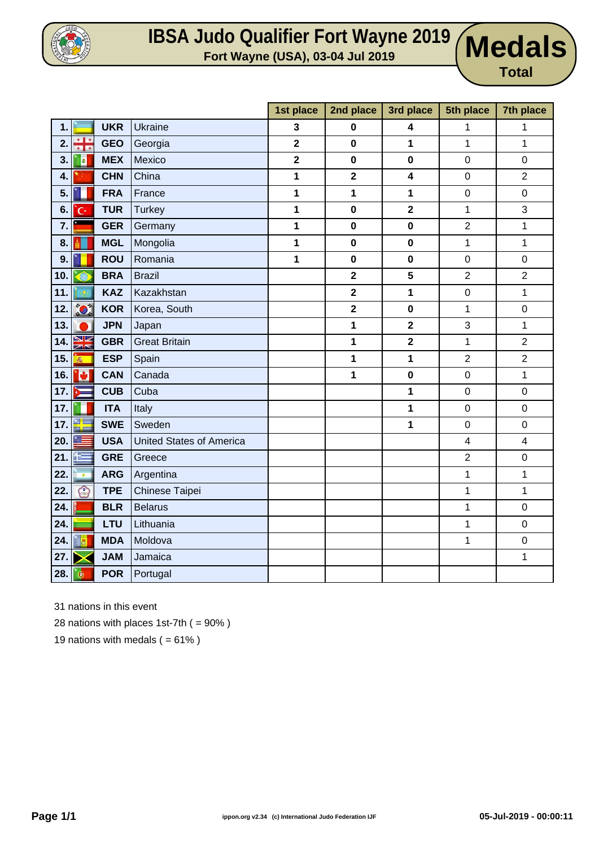

## **IBSA Judo Qualifier Fort Wayne 2019 Medals**

**Total**

|     |                              |            |                                 | 1st place               | 2nd place               | 3rd place               | 5th place               | 7th place               |
|-----|------------------------------|------------|---------------------------------|-------------------------|-------------------------|-------------------------|-------------------------|-------------------------|
| 1.  |                              | <b>UKR</b> | <b>Ukraine</b>                  | $\mathbf{3}$            | 0                       | 4                       | 1                       | 1                       |
| 2.  | ÷÷                           | <b>GEO</b> | Georgia                         | $\mathbf{2}$            | $\pmb{0}$               | 1                       | 1                       | $\mathbf 1$             |
| 3.  | a                            | <b>MEX</b> | Mexico                          | $\overline{\mathbf{2}}$ | $\mathbf 0$             | $\bf{0}$                | $\pmb{0}$               | $\mathbf 0$             |
| 4.  |                              | <b>CHN</b> | China                           | $\mathbf 1$             | $\overline{\mathbf{2}}$ | $\overline{\mathbf{4}}$ | $\mathbf 0$             | $\overline{2}$          |
| 5.  |                              | <b>FRA</b> | France                          | $\mathbf 1$             | 1                       | 1                       | $\pmb{0}$               | $\mathsf 0$             |
| 6.  | 'G                           | <b>TUR</b> | <b>Turkey</b>                   | $\mathbf 1$             | $\pmb{0}$               | $\overline{\mathbf{2}}$ | $\mathbf{1}$            | 3                       |
| 7.  |                              | <b>GER</b> | Germany                         | $\mathbf 1$             | $\pmb{0}$               | $\mathbf 0$             | $\mathbf 2$             | $\mathbf 1$             |
| 8.  |                              | <b>MGL</b> | Mongolia                        | $\mathbf 1$             | $\mathbf 0$             | $\mathbf 0$             | 1                       | 1                       |
| 9.  |                              | <b>ROU</b> | Romania                         | $\mathbf 1$             | $\pmb{0}$               | $\mathbf 0$             | $\boldsymbol{0}$        | 0                       |
| 10. | Â                            | <b>BRA</b> | <b>Brazil</b>                   |                         | $\overline{\mathbf{2}}$ | 5                       | $\overline{2}$          | $\overline{2}$          |
| 11. |                              | <b>KAZ</b> | Kazakhstan                      |                         | $\overline{\mathbf{2}}$ | 1                       | $\mathbf 0$             | $\mathbf{1}$            |
| 12. | $\sum_{i=1}^{n}$             | <b>KOR</b> | Korea, South                    |                         | $\overline{\mathbf{2}}$ | $\pmb{0}$               | $\mathbf 1$             | $\mathsf 0$             |
| 13. | D                            | <b>JPN</b> | Japan                           |                         | 1                       | $\overline{\mathbf{2}}$ | 3                       | 1                       |
| 14. | V<br>$\overline{\mathbb{Z}}$ | <b>GBR</b> | <b>Great Britain</b>            |                         | 1                       | $\overline{\mathbf{2}}$ | 1                       | $\overline{2}$          |
| 15. | $\frac{1}{2}$                | <b>ESP</b> | Spain                           |                         | 1                       | 1                       | $\mathbf 2$             | $\overline{c}$          |
| 16. | Ø                            | <b>CAN</b> | Canada                          |                         | 1                       | $\pmb{0}$               | $\pmb{0}$               | 1                       |
| 17. |                              | <b>CUB</b> | Cuba                            |                         |                         | 1                       | $\mathbf 0$             | $\mathsf 0$             |
| 17. |                              | <b>ITA</b> | Italy                           |                         |                         | 1                       | $\mathbf 0$             | $\pmb{0}$               |
| 17. | ٣L                           | <b>SWE</b> | Sweden                          |                         |                         | 1                       | $\mathbf 0$             | $\pmb{0}$               |
| 20. |                              | <b>USA</b> | <b>United States of America</b> |                         |                         |                         | $\overline{\mathbf{4}}$ | $\overline{\mathbf{4}}$ |
| 21. | 疆                            | <b>GRE</b> | Greece                          |                         |                         |                         | $\overline{2}$          | $\mathsf 0$             |
| 22. | $\overline{\bullet}$         | <b>ARG</b> | Argentina                       |                         |                         |                         | $\mathbf 1$             | $\mathbf{1}$            |
| 22. | $\odot$                      | <b>TPE</b> | Chinese Taipei                  |                         |                         |                         | 1                       | 1                       |
| 24. |                              | <b>BLR</b> | <b>Belarus</b>                  |                         |                         |                         | 1                       | $\mathsf 0$             |
| 24. |                              | <b>LTU</b> | Lithuania                       |                         |                         |                         | $\mathbf 1$             | $\mathsf 0$             |
| 24. | $\frac{1}{2}$                | <b>MDA</b> | Moldova                         |                         |                         |                         | 1                       | $\mathbf 0$             |
| 27. | ╳                            | <b>JAM</b> | Jamaica                         |                         |                         |                         |                         | 1                       |
| 28. | $\bullet$                    | <b>POR</b> | Portugal                        |                         |                         |                         |                         |                         |

31 nations in this event

28 nations with places 1st-7th  $( = 90\%)$ 

19 nations with medals  $( = 61\%)$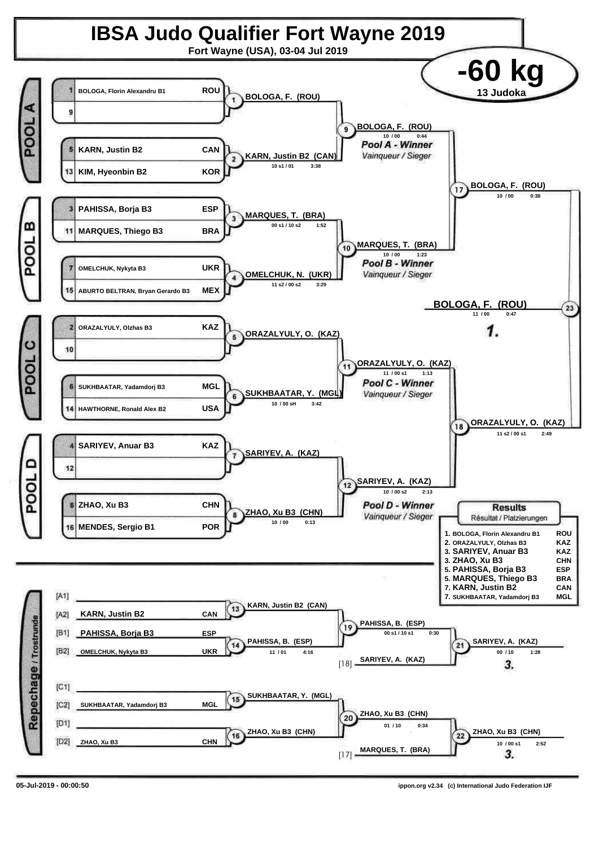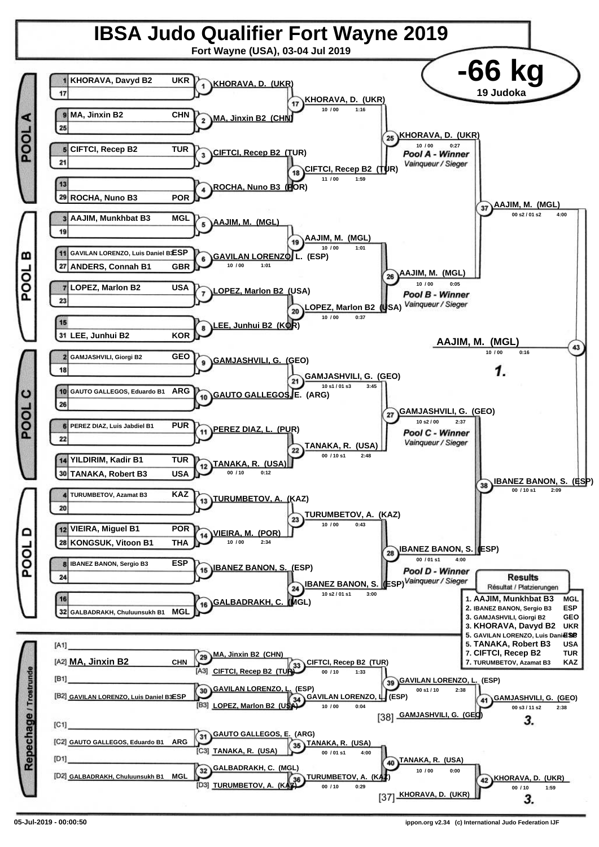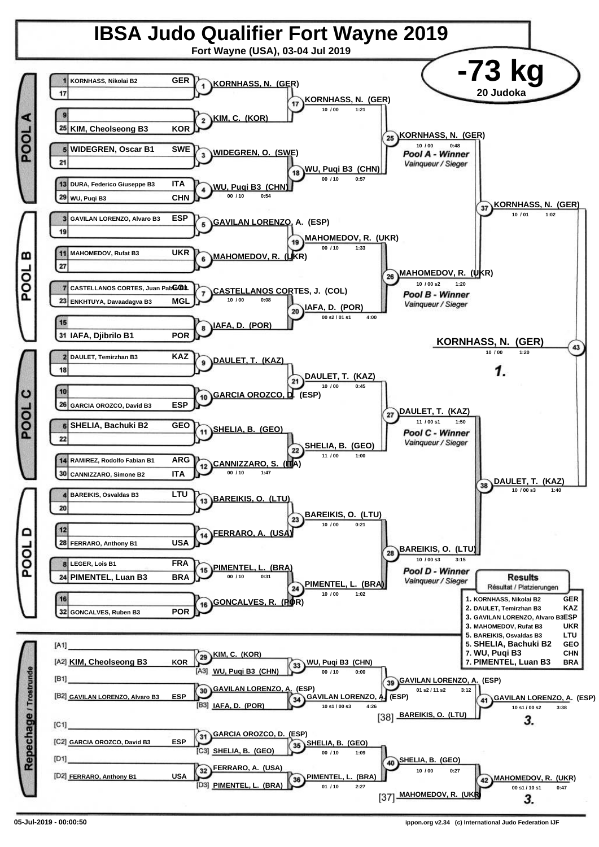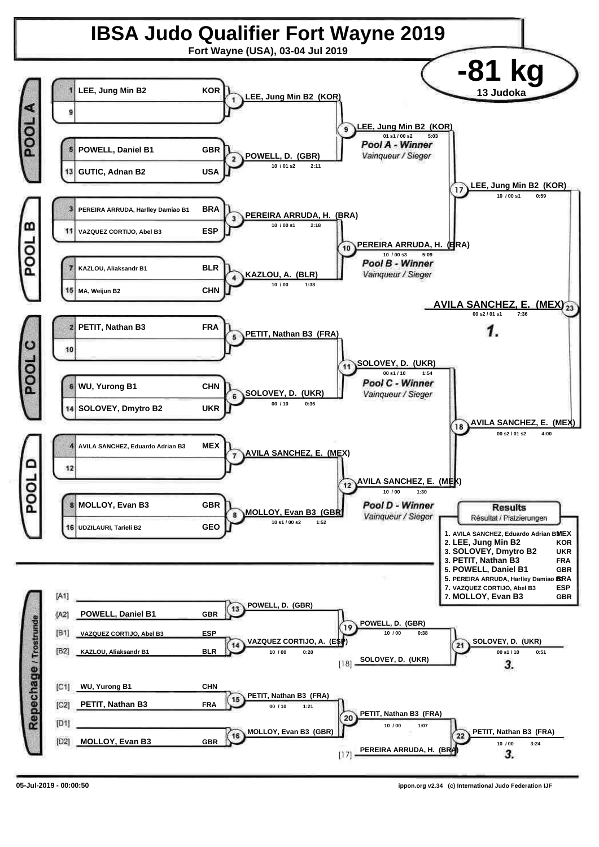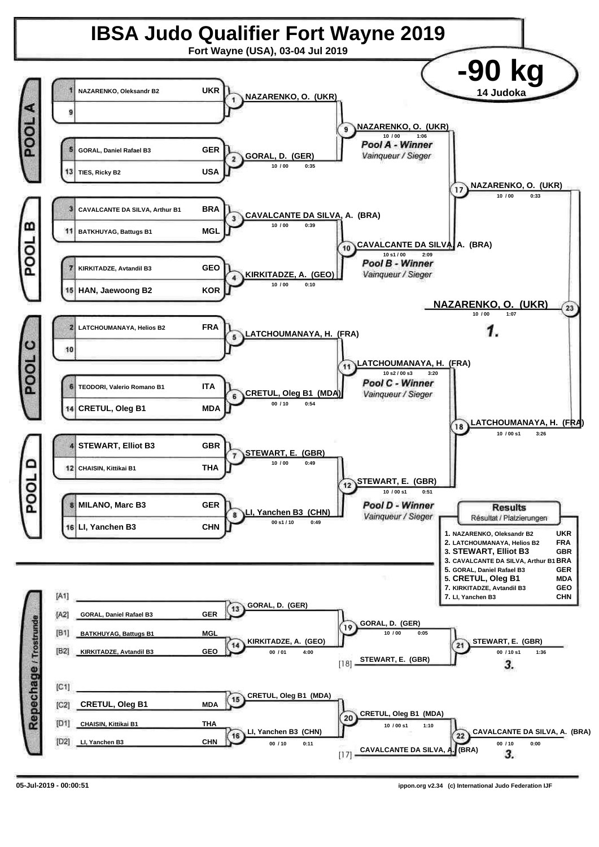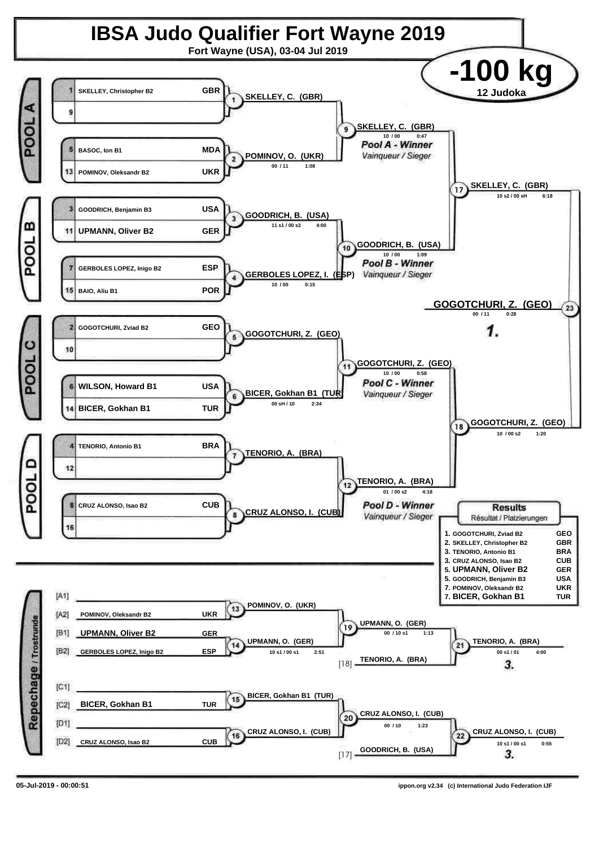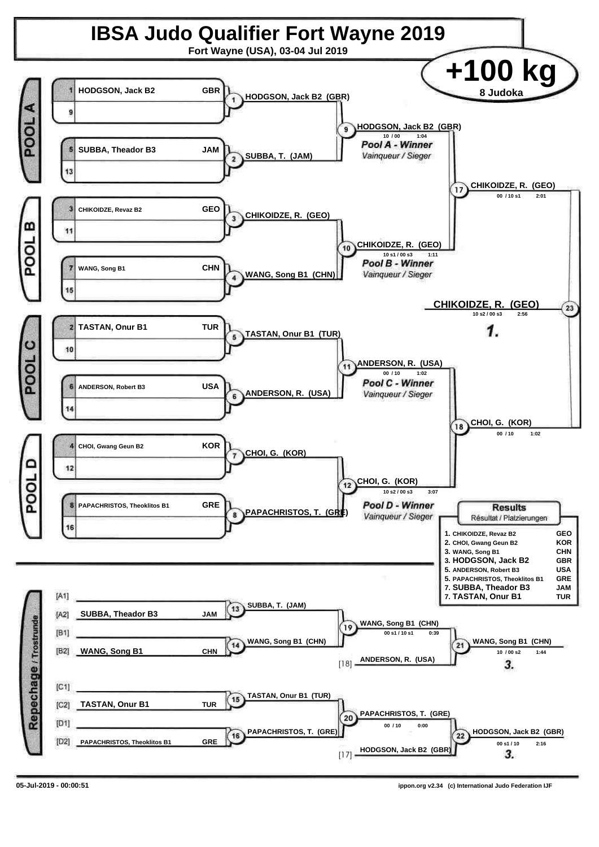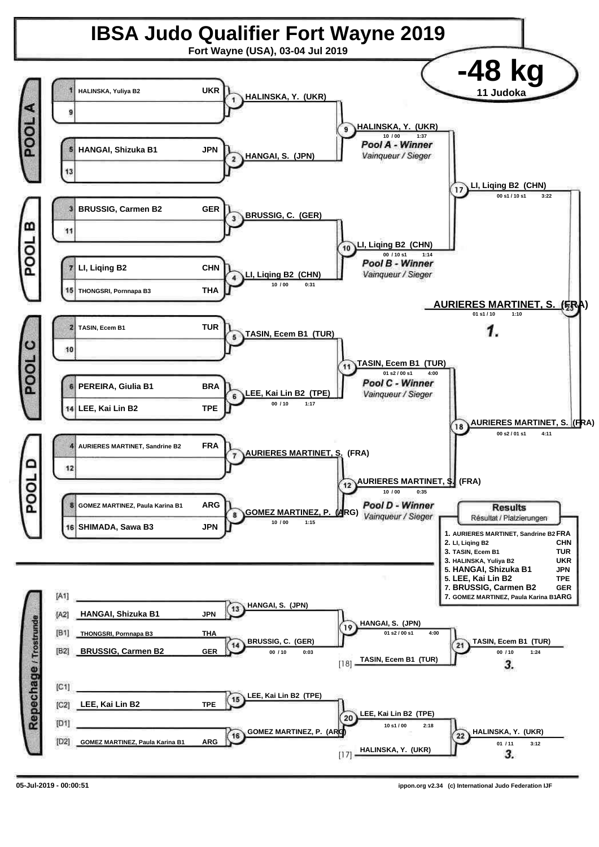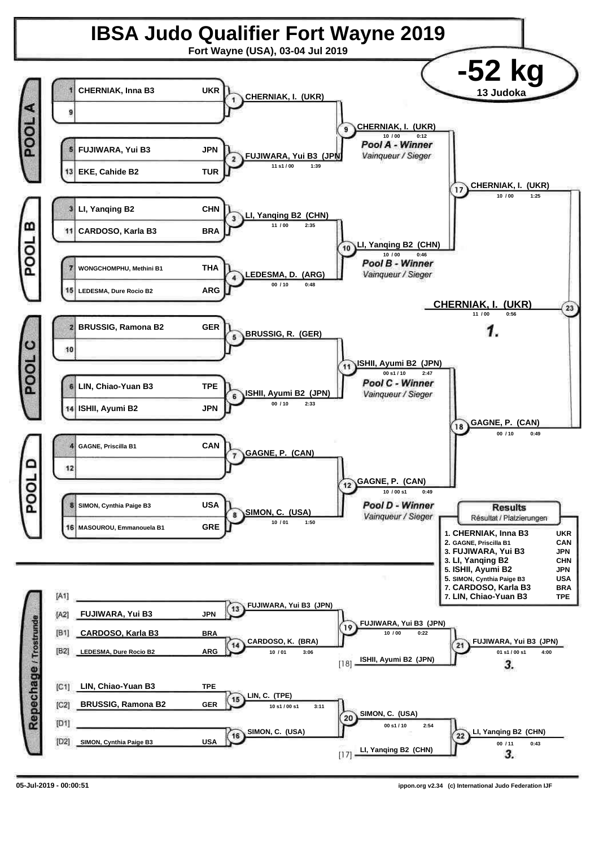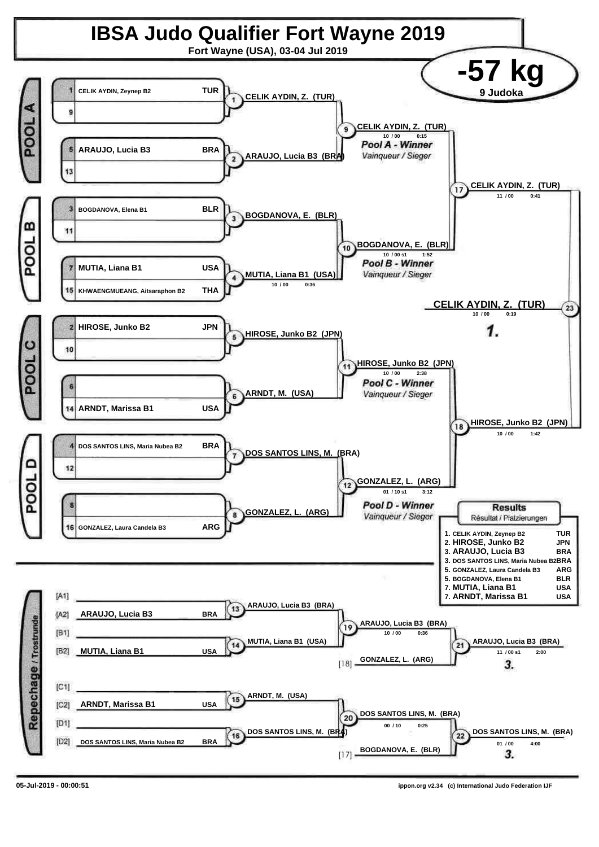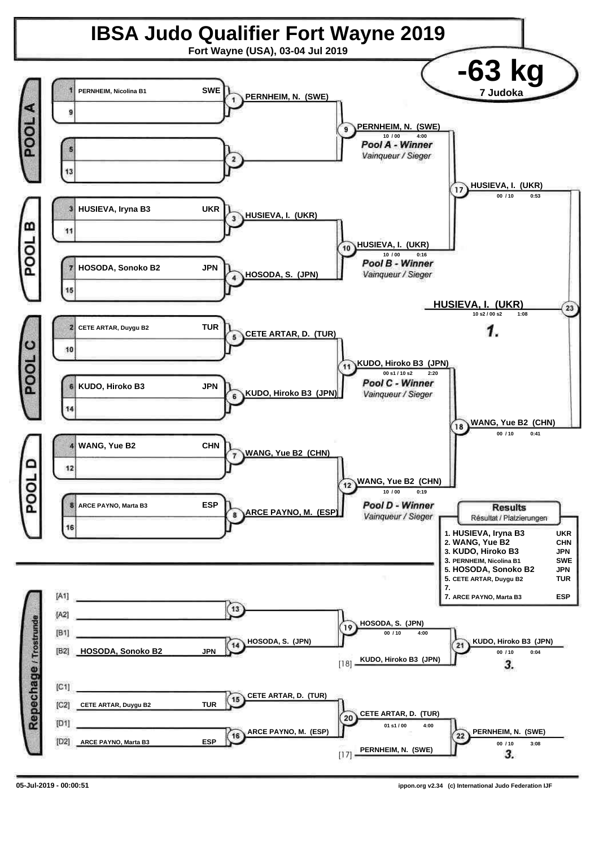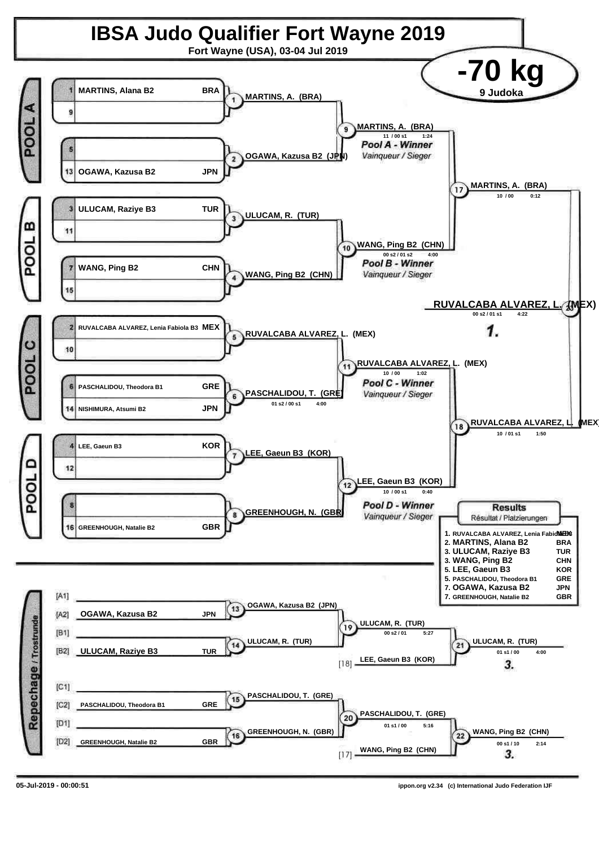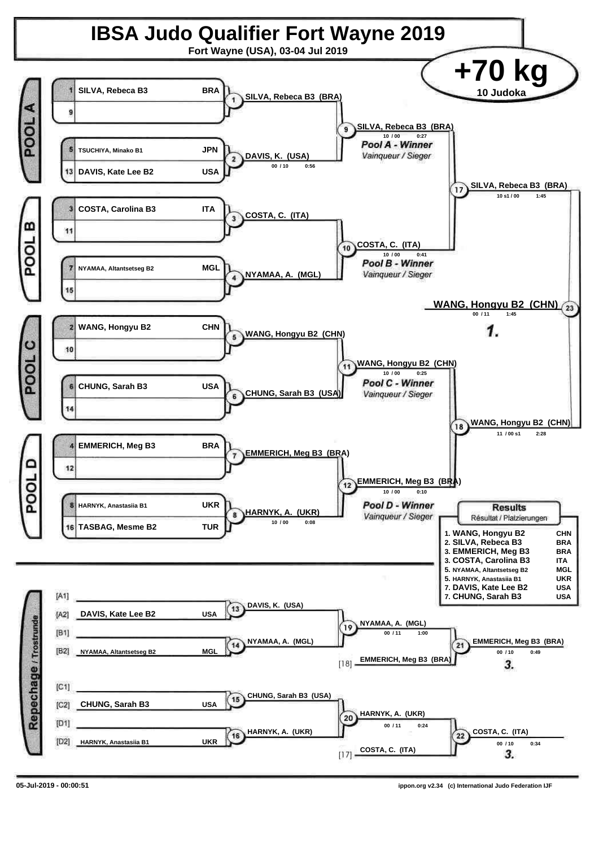